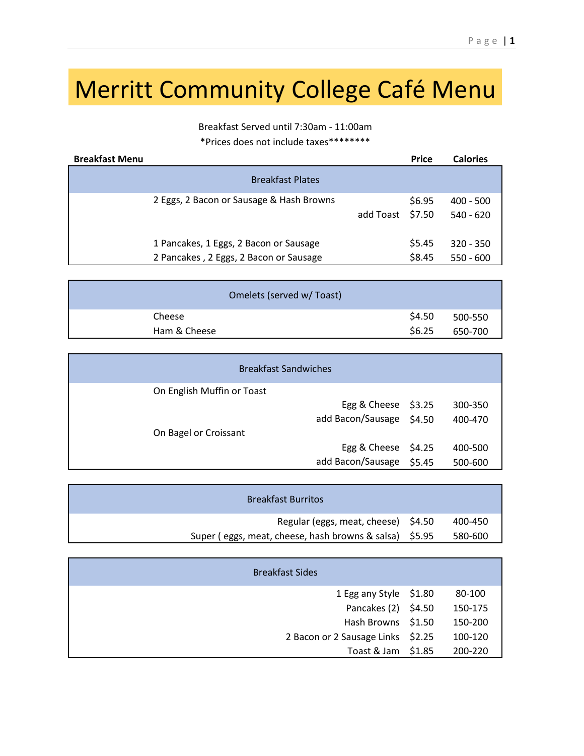## Merritt Community College Café Menu

Breakfast Served until 7:30am - 11:00am \*Prices does not include taxes\*\*\*\*\*\*\*\*

| <b>Breakfast Menu</b> |                                                                                  |                  | <b>Price</b>     | <b>Calories</b>            |
|-----------------------|----------------------------------------------------------------------------------|------------------|------------------|----------------------------|
|                       | <b>Breakfast Plates</b>                                                          |                  |                  |                            |
|                       | 2 Eggs, 2 Bacon or Sausage & Hash Browns                                         | add Toast \$7.50 | \$6.95           | $400 - 500$<br>$540 - 620$ |
|                       | 1 Pancakes, 1 Eggs, 2 Bacon or Sausage<br>2 Pancakes, 2 Eggs, 2 Bacon or Sausage |                  | \$5.45<br>\$8.45 | $320 - 350$<br>$550 - 600$ |

|              | Omelets (served w/ Toast) |         |
|--------------|---------------------------|---------|
| Cheese       | \$4.50                    | 500-550 |
| Ham & Cheese | \$6.25                    | 650-700 |

| On English Muffin or Toast<br>Egg & Cheese \$3.25<br>300-350<br>add Bacon/Sausage \$4.50<br>400-470<br>On Bagel or Croissant<br>Egg & Cheese \$4.25<br>400-500 | <b>Breakfast Sandwiches</b> |  |  |  |
|----------------------------------------------------------------------------------------------------------------------------------------------------------------|-----------------------------|--|--|--|
|                                                                                                                                                                |                             |  |  |  |
|                                                                                                                                                                |                             |  |  |  |
|                                                                                                                                                                |                             |  |  |  |
|                                                                                                                                                                |                             |  |  |  |
|                                                                                                                                                                |                             |  |  |  |
| add Bacon/Sausage \$5.45<br>500-600                                                                                                                            |                             |  |  |  |

| <b>Breakfast Burritos</b>                              |         |
|--------------------------------------------------------|---------|
| Regular (eggs, meat, cheese) \$4.50                    | 400-450 |
| Super (eggs, meat, cheese, hash browns & salsa) \$5.95 | 580-600 |

| <b>Breakfast Sides</b>            |         |
|-----------------------------------|---------|
| 1 Egg any Style \$1.80            | 80-100  |
| Pancakes (2) \$4.50               | 150-175 |
| Hash Browns \$1.50                | 150-200 |
| 2 Bacon or 2 Sausage Links \$2.25 | 100-120 |
| Toast & Jam \$1.85                | 200-220 |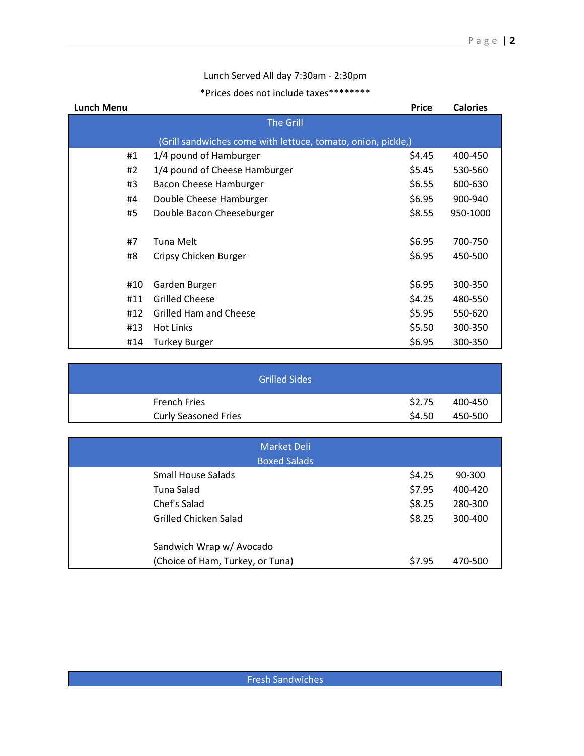## Lunch Served All day 7:30am - 2:30pm

## \*Prices does not include taxes\*\*\*\*\*\*\*\*

| <b>Lunch Menu</b> |                                                              | <b>Price</b> | <b>Calories</b> |
|-------------------|--------------------------------------------------------------|--------------|-----------------|
|                   | <b>The Grill</b>                                             |              |                 |
|                   | (Grill sandwiches come with lettuce, tomato, onion, pickle,) |              |                 |
| #1                | 1/4 pound of Hamburger                                       | \$4.45       | 400-450         |
| #2                | 1/4 pound of Cheese Hamburger                                | \$5.45       | 530-560         |
| #3                | Bacon Cheese Hamburger                                       | \$6.55       | 600-630         |
| #4                | Double Cheese Hamburger                                      | \$6.95       | 900-940         |
| #5                | Double Bacon Cheeseburger                                    | \$8.55       | 950-1000        |
|                   |                                                              |              |                 |
| #7                | Tuna Melt                                                    | \$6.95       | 700-750         |
| #8                | Cripsy Chicken Burger                                        | \$6.95       | 450-500         |
|                   |                                                              |              |                 |
| #10               | Garden Burger                                                | \$6.95       | 300-350         |
| #11               | <b>Grilled Cheese</b>                                        | \$4.25       | 480-550         |
| #12               | <b>Grilled Ham and Cheese</b>                                | \$5.95       | 550-620         |
| #13               | Hot Links                                                    | \$5.50       | 300-350         |
| #14               | <b>Turkey Burger</b>                                         | \$6.95       | 300-350         |

| ا Grilled Sides             |        |         |
|-----------------------------|--------|---------|
| <b>French Fries</b>         | \$2.75 | 400-450 |
| <b>Curly Seasoned Fries</b> | \$4.50 | 450-500 |

| <b>Market Deli</b><br><b>Boxed Salads</b> |        |         |
|-------------------------------------------|--------|---------|
| <b>Small House Salads</b>                 | \$4.25 | 90-300  |
| Tuna Salad                                | \$7.95 | 400-420 |
| Chef's Salad                              | \$8.25 | 280-300 |
| Grilled Chicken Salad                     | \$8.25 | 300-400 |
| Sandwich Wrap w/ Avocado                  |        |         |
| (Choice of Ham, Turkey, or Tuna)          | \$7.95 | 470-500 |